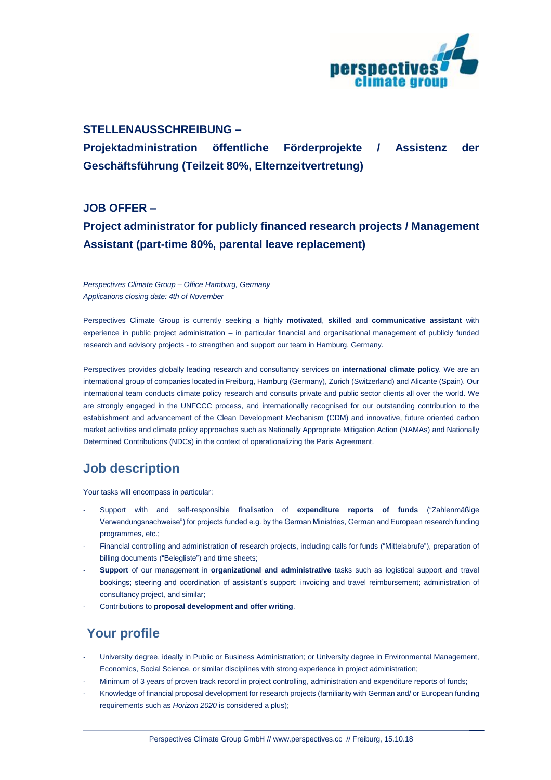

#### **STELLENAUSSCHREIBUNG –**

**Projektadministration öffentliche Förderprojekte / Assistenz der Geschäftsführung (Teilzeit 80%, Elternzeitvertretung)**

**JOB OFFER –**

## **Project administrator for publicly financed research projects / Management Assistant (part-time 80%, parental leave replacement)**

*Perspectives Climate Group – Office Hamburg, Germany Applications closing date: 4th of November*

Perspectives Climate Group is currently seeking a highly **motivated**, **skilled** and **communicative assistant** with experience in public project administration – in particular financial and organisational management of publicly funded research and advisory projects - to strengthen and support our team in Hamburg, Germany.

Perspectives provides globally leading research and consultancy services on **international climate policy**. We are an international group of companies located in Freiburg, Hamburg (Germany), Zurich (Switzerland) and Alicante (Spain). Our international team conducts climate policy research and consults private and public sector clients all over the world. We are strongly engaged in the UNFCCC process, and internationally recognised for our outstanding contribution to the establishment and advancement of the Clean Development Mechanism (CDM) and innovative, future oriented carbon market activities and climate policy approaches such as Nationally Appropriate Mitigation Action (NAMAs) and Nationally Determined Contributions (NDCs) in the context of operationalizing the Paris Agreement.

## **Job description**

Your tasks will encompass in particular:

- Support with and self-responsible finalisation of **expenditure reports of funds** ("Zahlenmäßige Verwendungsnachweise") for projects funded e.g. by the German Ministries, German and European research funding programmes, etc.;
- Financial controlling and administration of research projects, including calls for funds ("Mittelabrufe"), preparation of billing documents ("Belegliste") and time sheets;
- **Support** of our management in **organizational and administrative** tasks such as logistical support and travel bookings; steering and coordination of assistant's support; invoicing and travel reimbursement; administration of consultancy project, and similar;
- Contributions to **proposal development and offer writing**.

# **Your profile**

- University degree, ideally in Public or Business Administration; or University degree in Environmental Management, Economics, Social Science, or similar disciplines with strong experience in project administration;
- Minimum of 3 years of proven track record in project controlling, administration and expenditure reports of funds;
- Knowledge of financial proposal development for research projects (familiarity with German and/ or European funding requirements such as *Horizon 2020* is considered a plus);